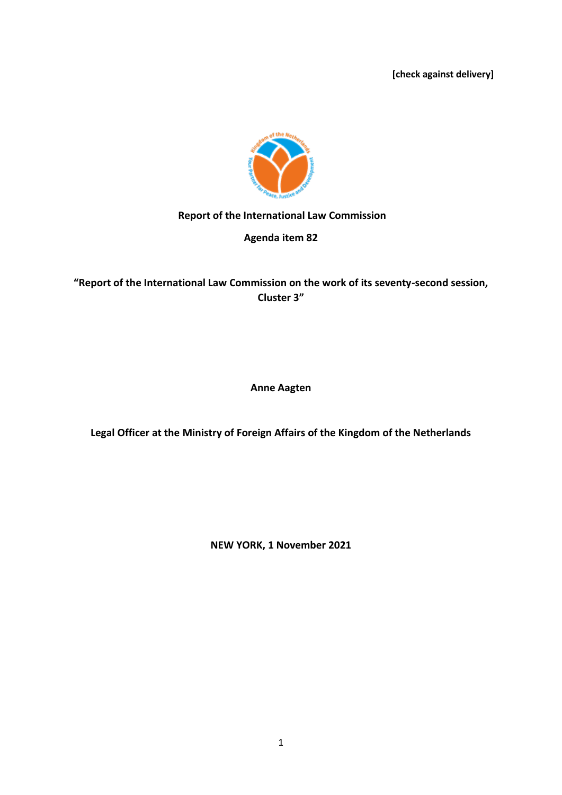**[check against delivery]**



## **Report of the International Law Commission**

**Agenda item 82**

**"Report of the International Law Commission on the work of its seventy-second session, Cluster 3"**

**Anne Aagten**

**Legal Officer at the Ministry of Foreign Affairs of the Kingdom of the Netherlands**

**NEW YORK, 1 November 2021**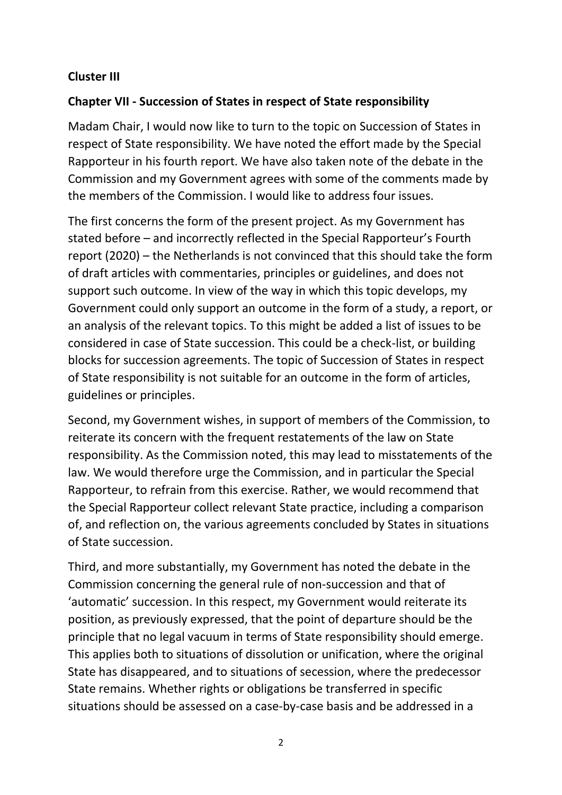## **Cluster III**

## **Chapter VII - Succession of States in respect of State responsibility**

Madam Chair, I would now like to turn to the topic on Succession of States in respect of State responsibility. We have noted the effort made by the Special Rapporteur in his fourth report. We have also taken note of the debate in the Commission and my Government agrees with some of the comments made by the members of the Commission. I would like to address four issues.

The first concerns the form of the present project. As my Government has stated before – and incorrectly reflected in the Special Rapporteur's Fourth report (2020) – the Netherlands is not convinced that this should take the form of draft articles with commentaries, principles or guidelines, and does not support such outcome. In view of the way in which this topic develops, my Government could only support an outcome in the form of a study, a report, or an analysis of the relevant topics. To this might be added a list of issues to be considered in case of State succession. This could be a check-list, or building blocks for succession agreements. The topic of Succession of States in respect of State responsibility is not suitable for an outcome in the form of articles, guidelines or principles.

Second, my Government wishes, in support of members of the Commission, to reiterate its concern with the frequent restatements of the law on State responsibility. As the Commission noted, this may lead to misstatements of the law. We would therefore urge the Commission, and in particular the Special Rapporteur, to refrain from this exercise. Rather, we would recommend that the Special Rapporteur collect relevant State practice, including a comparison of, and reflection on, the various agreements concluded by States in situations of State succession.

Third, and more substantially, my Government has noted the debate in the Commission concerning the general rule of non-succession and that of 'automatic' succession. In this respect, my Government would reiterate its position, as previously expressed, that the point of departure should be the principle that no legal vacuum in terms of State responsibility should emerge. This applies both to situations of dissolution or unification, where the original State has disappeared, and to situations of secession, where the predecessor State remains. Whether rights or obligations be transferred in specific situations should be assessed on a case-by-case basis and be addressed in a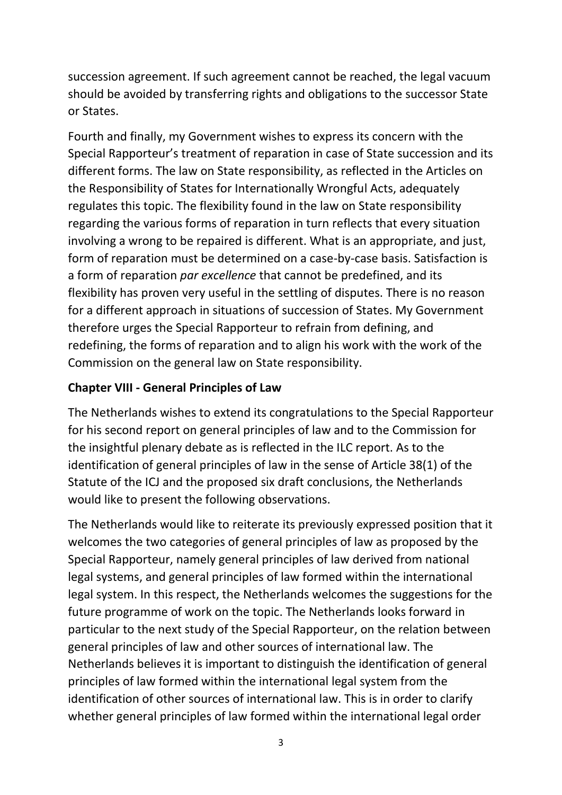succession agreement. If such agreement cannot be reached, the legal vacuum should be avoided by transferring rights and obligations to the successor State or States.

Fourth and finally, my Government wishes to express its concern with the Special Rapporteur's treatment of reparation in case of State succession and its different forms. The law on State responsibility, as reflected in the Articles on the Responsibility of States for Internationally Wrongful Acts, adequately regulates this topic. The flexibility found in the law on State responsibility regarding the various forms of reparation in turn reflects that every situation involving a wrong to be repaired is different. What is an appropriate, and just, form of reparation must be determined on a case-by-case basis. Satisfaction is a form of reparation *par excellence* that cannot be predefined, and its flexibility has proven very useful in the settling of disputes. There is no reason for a different approach in situations of succession of States. My Government therefore urges the Special Rapporteur to refrain from defining, and redefining, the forms of reparation and to align his work with the work of the Commission on the general law on State responsibility.

## **Chapter VIII - General Principles of Law**

The Netherlands wishes to extend its congratulations to the Special Rapporteur for his second report on general principles of law and to the Commission for the insightful plenary debate as is reflected in the ILC report. As to the identification of general principles of law in the sense of Article 38(1) of the Statute of the ICJ and the proposed six draft conclusions, the Netherlands would like to present the following observations.

The Netherlands would like to reiterate its previously expressed position that it welcomes the two categories of general principles of law as proposed by the Special Rapporteur, namely general principles of law derived from national legal systems, and general principles of law formed within the international legal system. In this respect, the Netherlands welcomes the suggestions for the future programme of work on the topic. The Netherlands looks forward in particular to the next study of the Special Rapporteur, on the relation between general principles of law and other sources of international law. The Netherlands believes it is important to distinguish the identification of general principles of law formed within the international legal system from the identification of other sources of international law. This is in order to clarify whether general principles of law formed within the international legal order